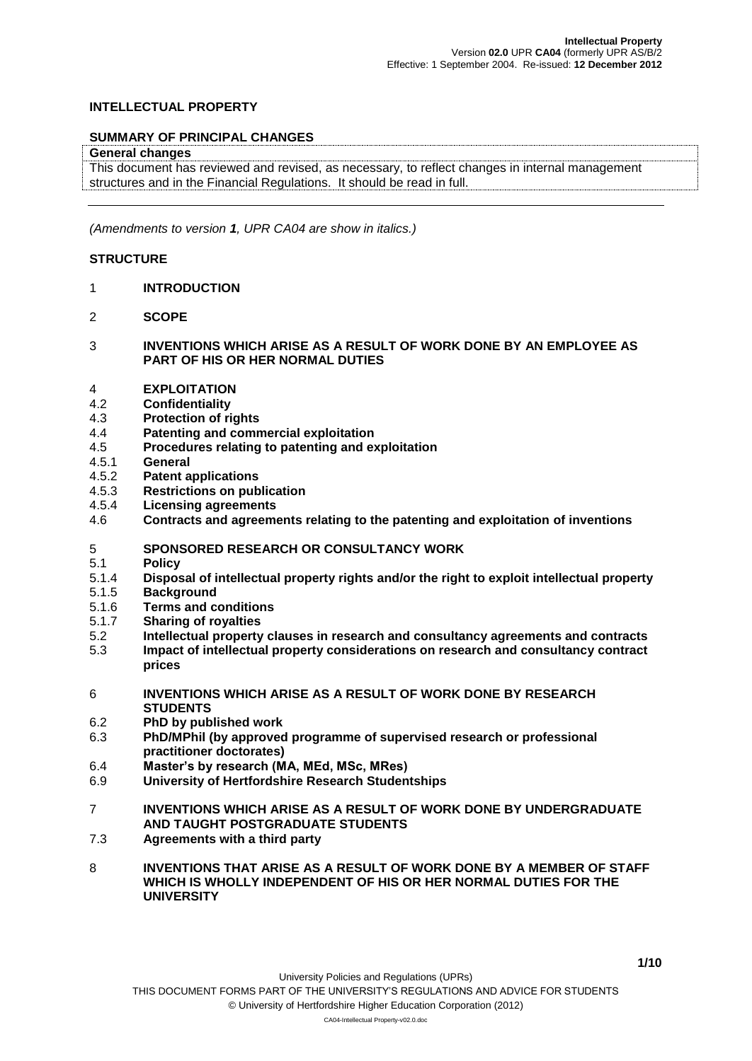# **INTELLECTUAL PROPERTY**

#### **SUMMARY OF PRINCIPAL CHANGES**

#### **General changes**

This document has reviewed and revised, as necessary, to reflect changes in internal management structures and in the Financial Regulations. It should be read in full.

*(Amendments to version 1, UPR CA04 are show in italics.)*

### **STRUCTURE**

- 1 **INTRODUCTION**
- 2 **SCOPE**
- 3 **INVENTIONS WHICH ARISE AS A RESULT OF WORK DONE BY AN EMPLOYEE AS PART OF HIS OR HER NORMAL DUTIES**
- 4 **EXPLOITATION**
- 4.2 **Confidentiality**
- 4.3 **Protection of rights**
- 4.4 **Patenting and commercial exploitation**
- 4.5 **Procedures relating to patenting and exploitation**
- 4.5.1 **General**
- 4.5.2 **Patent applications**
- 4.5.3 **Restrictions on publication**
- 4.5.4 **Licensing agreements**
- 4.6 **Contracts and agreements relating to the patenting and exploitation of inventions**

### 5 **SPONSORED RESEARCH OR CONSULTANCY WORK**

- 5.1 **Policy**
- 5.1.4 **Disposal of intellectual property rights and/or the right to exploit intellectual property**
- 5.1.5 **Background**
- 5.1.6 **Terms and conditions**
- 5.1.7 **Sharing of royalties**
- 5.2 **Intellectual property clauses in research and consultancy agreements and contracts**
- 5.3 **Impact of intellectual property considerations on research and consultancy contract prices**
- 6 **INVENTIONS WHICH ARISE AS A RESULT OF WORK DONE BY RESEARCH STUDENTS**
- 6.2 **PhD by published work**
- 6.3 **PhD/MPhil (by approved programme of supervised research or professional practitioner doctorates)**
- 6.4 **Master's by research (MA, MEd, MSc, MRes)**
- 6.9 **University of Hertfordshire Research Studentships**
- 7 **INVENTIONS WHICH ARISE AS A RESULT OF WORK DONE BY UNDERGRADUATE AND TAUGHT POSTGRADUATE STUDENTS**
- 7.3 **Agreements with a third party**
- 8 **INVENTIONS THAT ARISE AS A RESULT OF WORK DONE BY A MEMBER OF STAFF WHICH IS WHOLLY INDEPENDENT OF HIS OR HER NORMAL DUTIES FOR THE UNIVERSITY**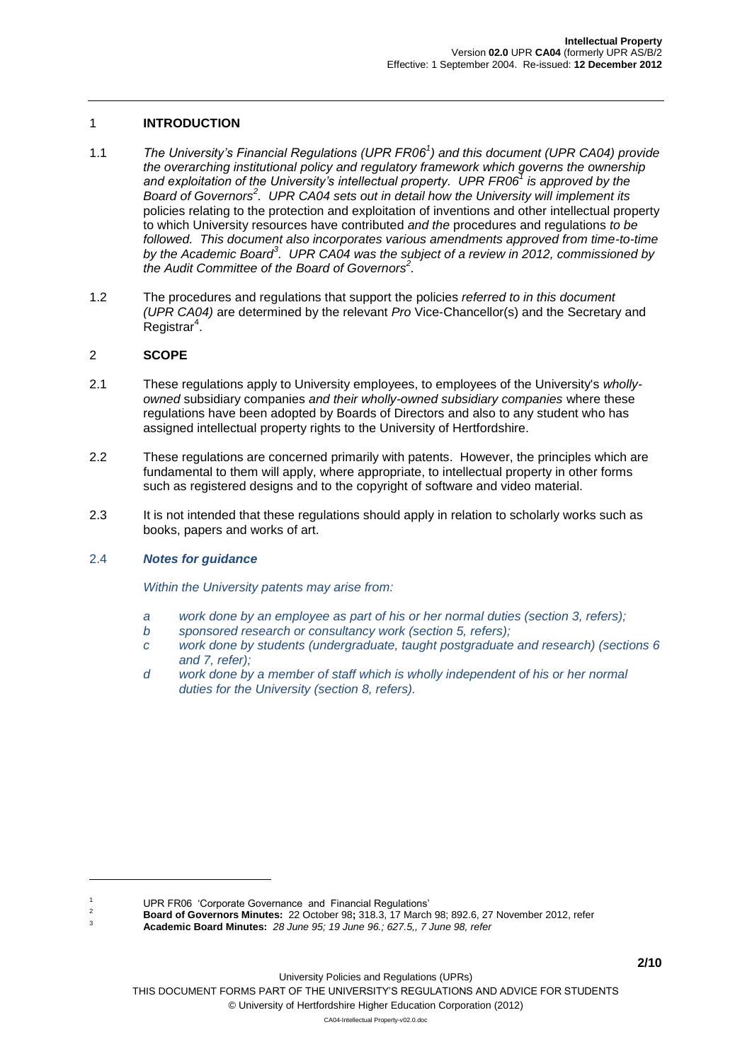## 1 **INTRODUCTION**

- 1.1 *The University's Financial Regulations (UPR FR06<sup>1</sup> ) and this document (UPR CA04) provide the overarching institutional policy and regulatory framework which governs the ownership and exploitation of the University's intellectual property. UPR FR06<sup>1</sup> is approved by the Board of Governors<sup>2</sup> . UPR CA04 sets out in detail how the University will implement its*  policies relating to the protection and exploitation of inventions and other intellectual property to which University resources have contributed *and the* procedures and regulations *to be*  followed. This document also incorporates various amendments approved from time-to-time *by the Academic Board<sup>3</sup> . UPR CA04 was the subject of a review in 2012, commissioned by the Audit Committee of the Board of Governors<sup>2</sup> .*
- 1.2 The procedures and regulations that support the policies *referred to in this document (UPR CA04)* are determined by the relevant *Pro* Vice-Chancellor(s) and the Secretary and Registrar<sup>4</sup>.

## 2 **SCOPE**

- 2.1 These regulations apply to University employees, to employees of the University's *whollyowned* subsidiary companies *and their wholly-owned subsidiary companies* where these regulations have been adopted by Boards of Directors and also to any student who has assigned intellectual property rights to the University of Hertfordshire.
- 2.2 These regulations are concerned primarily with patents. However, the principles which are fundamental to them will apply, where appropriate, to intellectual property in other forms such as registered designs and to the copyright of software and video material.
- 2.3 It is not intended that these regulations should apply in relation to scholarly works such as books, papers and works of art.

# 2.4 *Notes for guidance*

 $\overline{\phantom{a}}$ 

*Within the University patents may arise from:*

- *a work done by an employee as part of his or her normal duties (section 3, refers);*
- *b sponsored research or consultancy work (section 5, refers);*
- *c work done by students (undergraduate, taught postgraduate and research) (sections 6 and 7, refer);*
- *d work done by a member of staff which is wholly independent of his or her normal duties for the University (section 8, refers).*

THIS DOCUMENT FORMS PART OF THE UNIVERSITY"S REGULATIONS AND ADVICE FOR STUDENTS

<sup>1</sup> UPR FR06 'Corporate Governance and Financial Regulations'

<sup>2</sup> **Board of Governors Minutes:** 22 October 98**;** 318.3, 17 March 98; 892.6, 27 November 2012, refer

<sup>3</sup> **Academic Board Minutes:** *28 June 95; 19 June 96.; 627.5,, 7 June 98, refer*

University Policies and Regulations (UPRs)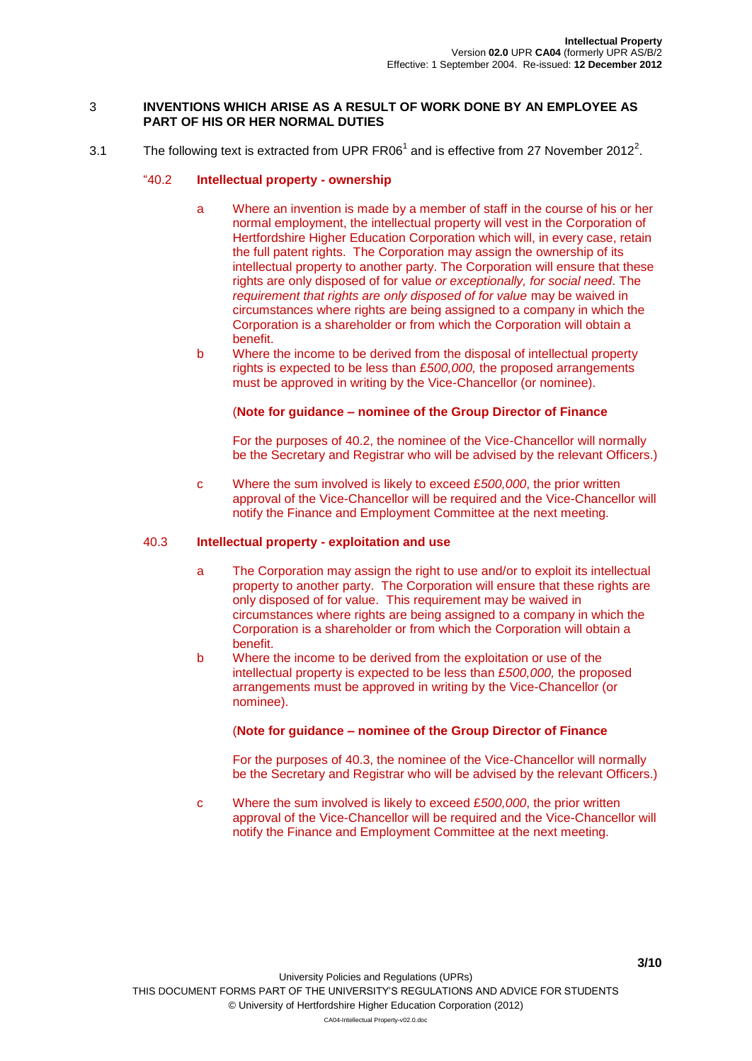#### 3 **INVENTIONS WHICH ARISE AS A RESULT OF WORK DONE BY AN EMPLOYEE AS PART OF HIS OR HER NORMAL DUTIES**

3.1 The following text is extracted from UPR FR06<sup>1</sup> and is effective from 27 November 2012<sup>2</sup>.

### "40.2 **Intellectual property - ownership**

- a Where an invention is made by a member of staff in the course of his or her normal employment, the intellectual property will vest in the Corporation of Hertfordshire Higher Education Corporation which will, in every case, retain the full patent rights. The Corporation may assign the ownership of its intellectual property to another party. The Corporation will ensure that these rights are only disposed of for value *or exceptionally, for social need*. The requirement that rights are only disposed of for value may be waived in circumstances where rights are being assigned to a company in which the Corporation is a shareholder or from which the Corporation will obtain a benefit.
- b Where the income to be derived from the disposal of intellectual property rights is expected to be less than £*500,000,* the proposed arrangements must be approved in writing by the Vice-Chancellor (or nominee).

#### (**Note for guidance – nominee of the Group Director of Finance**

For the purposes of 40.2, the nominee of the Vice-Chancellor will normally be the Secretary and Registrar who will be advised by the relevant Officers.)

c Where the sum involved is likely to exceed £*500,000*, the prior written approval of the Vice-Chancellor will be required and the Vice-Chancellor will notify the Finance and Employment Committee at the next meeting.

#### 40.3 **Intellectual property - exploitation and use**

- a The Corporation may assign the right to use and/or to exploit its intellectual property to another party. The Corporation will ensure that these rights are only disposed of for value. This requirement may be waived in circumstances where rights are being assigned to a company in which the Corporation is a shareholder or from which the Corporation will obtain a benefit.
- b Where the income to be derived from the exploitation or use of the intellectual property is expected to be less than £*500,000,* the proposed arrangements must be approved in writing by the Vice-Chancellor (or nominee).

#### (**Note for guidance – nominee of the Group Director of Finance**

For the purposes of 40.3, the nominee of the Vice-Chancellor will normally be the Secretary and Registrar who will be advised by the relevant Officers.)

c Where the sum involved is likely to exceed £*500,000*, the prior written approval of the Vice-Chancellor will be required and the Vice-Chancellor will notify the Finance and Employment Committee at the next meeting.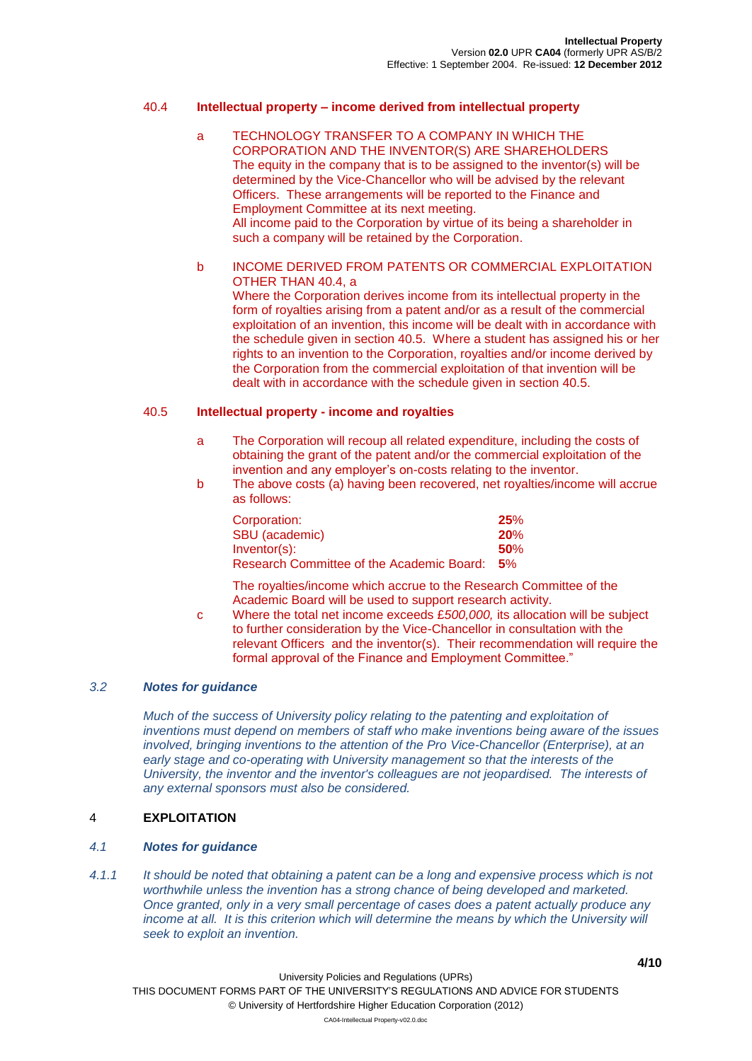# 40.4 **Intellectual property – income derived from intellectual property**

- a TECHNOLOGY TRANSFER TO A COMPANY IN WHICH THE CORPORATION AND THE INVENTOR(S) ARE SHAREHOLDERS The equity in the company that is to be assigned to the inventor(s) will be determined by the Vice-Chancellor who will be advised by the relevant Officers. These arrangements will be reported to the Finance and Employment Committee at its next meeting. All income paid to the Corporation by virtue of its being a shareholder in such a company will be retained by the Corporation.
- b INCOME DERIVED FROM PATENTS OR COMMERCIAL EXPLOITATION OTHER THAN 40.4, a

Where the Corporation derives income from its intellectual property in the form of royalties arising from a patent and/or as a result of the commercial exploitation of an invention, this income will be dealt with in accordance with the schedule given in section 40.5. Where a student has assigned his or her rights to an invention to the Corporation, royalties and/or income derived by the Corporation from the commercial exploitation of that invention will be dealt with in accordance with the schedule given in section 40.5.

# 40.5 **Intellectual property - income and royalties**

- a The Corporation will recoup all related expenditure, including the costs of obtaining the grant of the patent and/or the commercial exploitation of the invention and any employer's on-costs relating to the inventor.
- b The above costs (a) having been recovered, net royalties/income will accrue as follows:

| Corporation:                              | 25%       |
|-------------------------------------------|-----------|
| SBU (academic)                            | 20%       |
| $Inventor(s)$ :                           | 50%       |
| Research Committee of the Academic Board: | <b>5%</b> |

The royalties/income which accrue to the Research Committee of the Academic Board will be used to support research activity.

c Where the total net income exceeds £*500,000,* its allocation will be subject to further consideration by the Vice-Chancellor in consultation with the relevant Officers and the inventor(s). Their recommendation will require the formal approval of the Finance and Employment Committee."

# *3.2 Notes for guidance*

*Much of the success of University policy relating to the patenting and exploitation of inventions must depend on members of staff who make inventions being aware of the issues involved, bringing inventions to the attention of the Pro Vice-Chancellor (Enterprise), at an early stage and co-operating with University management so that the interests of the University, the inventor and the inventor's colleagues are not jeopardised. The interests of any external sponsors must also be considered.*

# 4 **EXPLOITATION**

## *4.1 Notes for guidance*

*4.1.1 It should be noted that obtaining a patent can be a long and expensive process which is not worthwhile unless the invention has a strong chance of being developed and marketed. Once granted, only in a very small percentage of cases does a patent actually produce any income at all. It is this criterion which will determine the means by which the University will seek to exploit an invention.*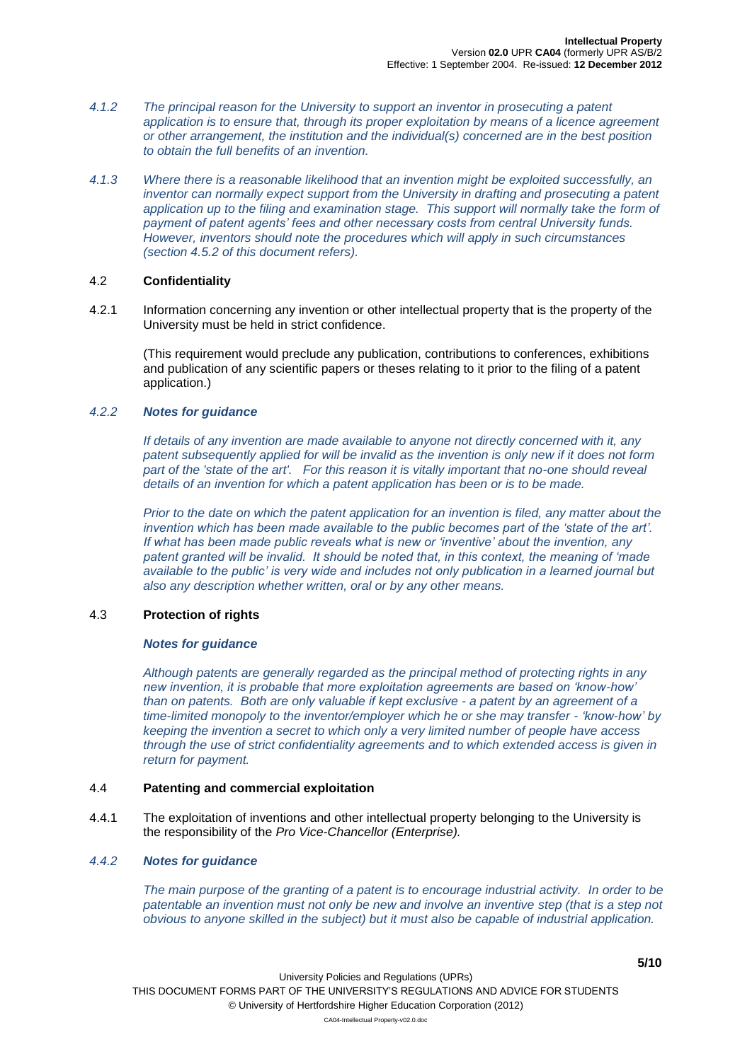- *4.1.2 The principal reason for the University to support an inventor in prosecuting a patent application is to ensure that, through its proper exploitation by means of a licence agreement or other arrangement, the institution and the individual(s) concerned are in the best position to obtain the full benefits of an invention.*
- *4.1.3 Where there is a reasonable likelihood that an invention might be exploited successfully, an inventor can normally expect support from the University in drafting and prosecuting a patent application up to the filing and examination stage. This support will normally take the form of payment of patent agents' fees and other necessary costs from central University funds. However, inventors should note the procedures which will apply in such circumstances (section 4.5.2 of this document refers).*

#### 4.2 **Confidentiality**

4.2.1 Information concerning any invention or other intellectual property that is the property of the University must be held in strict confidence.

(This requirement would preclude any publication, contributions to conferences, exhibitions and publication of any scientific papers or theses relating to it prior to the filing of a patent application.)

### *4.2.2 Notes for guidance*

*If details of any invention are made available to anyone not directly concerned with it, any patent subsequently applied for will be invalid as the invention is only new if it does not form part of the 'state of the art'. For this reason it is vitally important that no-one should reveal details of an invention for which a patent application has been or is to be made.* 

*Prior to the date on which the patent application for an invention is filed, any matter about the invention which has been made available to the public becomes part of the 'state of the art'. If what has been made public reveals what is new or 'inventive' about the invention, any patent granted will be invalid. It should be noted that, in this context, the meaning of 'made available to the public' is very wide and includes not only publication in a learned journal but also any description whether written, oral or by any other means.*

# 4.3 **Protection of rights**

#### *Notes for guidance*

*Although patents are generally regarded as the principal method of protecting rights in any new invention, it is probable that more exploitation agreements are based on 'know-how' than on patents. Both are only valuable if kept exclusive - a patent by an agreement of a time-limited monopoly to the inventor/employer which he or she may transfer - 'know-how' by keeping the invention a secret to which only a very limited number of people have access through the use of strict confidentiality agreements and to which extended access is given in return for payment.*

#### 4.4 **Patenting and commercial exploitation**

4.4.1 The exploitation of inventions and other intellectual property belonging to the University is the responsibility of the *Pro Vice-Chancellor (Enterprise).*

# *4.4.2 Notes for guidance*

*The main purpose of the granting of a patent is to encourage industrial activity. In order to be patentable an invention must not only be new and involve an inventive step (that is a step not obvious to anyone skilled in the subject) but it must also be capable of industrial application.*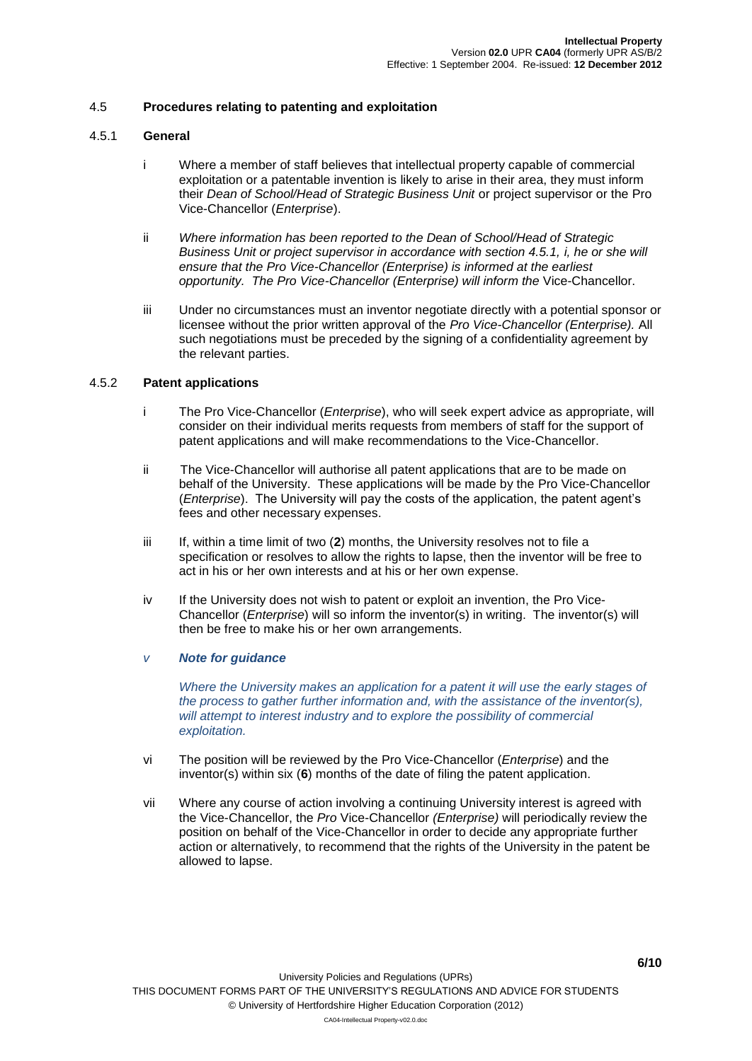# 4.5 **Procedures relating to patenting and exploitation**

## 4.5.1 **General**

- i Where a member of staff believes that intellectual property capable of commercial exploitation or a patentable invention is likely to arise in their area, they must inform their *Dean of School/Head of Strategic Business Unit* or project supervisor or the Pro Vice-Chancellor (*Enterprise*).
- ii *Where information has been reported to the Dean of School/Head of Strategic Business Unit or project supervisor in accordance with section 4.5.1, i, he or she will ensure that the Pro Vice-Chancellor (Enterprise) is informed at the earliest opportunity. The Pro Vice-Chancellor (Enterprise) will inform the* Vice-Chancellor.
- iii Under no circumstances must an inventor negotiate directly with a potential sponsor or licensee without the prior written approval of the *Pro Vice-Chancellor (Enterprise).* All such negotiations must be preceded by the signing of a confidentiality agreement by the relevant parties.

# 4.5.2 **Patent applications**

- i The Pro Vice-Chancellor (*Enterprise*), who will seek expert advice as appropriate, will consider on their individual merits requests from members of staff for the support of patent applications and will make recommendations to the Vice-Chancellor.
- ii The Vice-Chancellor will authorise all patent applications that are to be made on behalf of the University. These applications will be made by the Pro Vice-Chancellor (*Enterprise*). The University will pay the costs of the application, the patent agent"s fees and other necessary expenses.
- iii If, within a time limit of two (**2**) months, the University resolves not to file a specification or resolves to allow the rights to lapse, then the inventor will be free to act in his or her own interests and at his or her own expense.
- iv If the University does not wish to patent or exploit an invention, the Pro Vice-Chancellor (*Enterprise*) will so inform the inventor(s) in writing. The inventor(s) will then be free to make his or her own arrangements.

# *v Note for guidance*

*Where the University makes an application for a patent it will use the early stages of the process to gather further information and, with the assistance of the inventor(s),*  will attempt to interest industry and to explore the possibility of commercial *exploitation.*

- vi The position will be reviewed by the Pro Vice-Chancellor (*Enterprise*) and the inventor(s) within six (**6**) months of the date of filing the patent application.
- vii Where any course of action involving a continuing University interest is agreed with the Vice-Chancellor, the *Pro* Vice-Chancellor *(Enterprise)* will periodically review the position on behalf of the Vice-Chancellor in order to decide any appropriate further action or alternatively, to recommend that the rights of the University in the patent be allowed to lapse.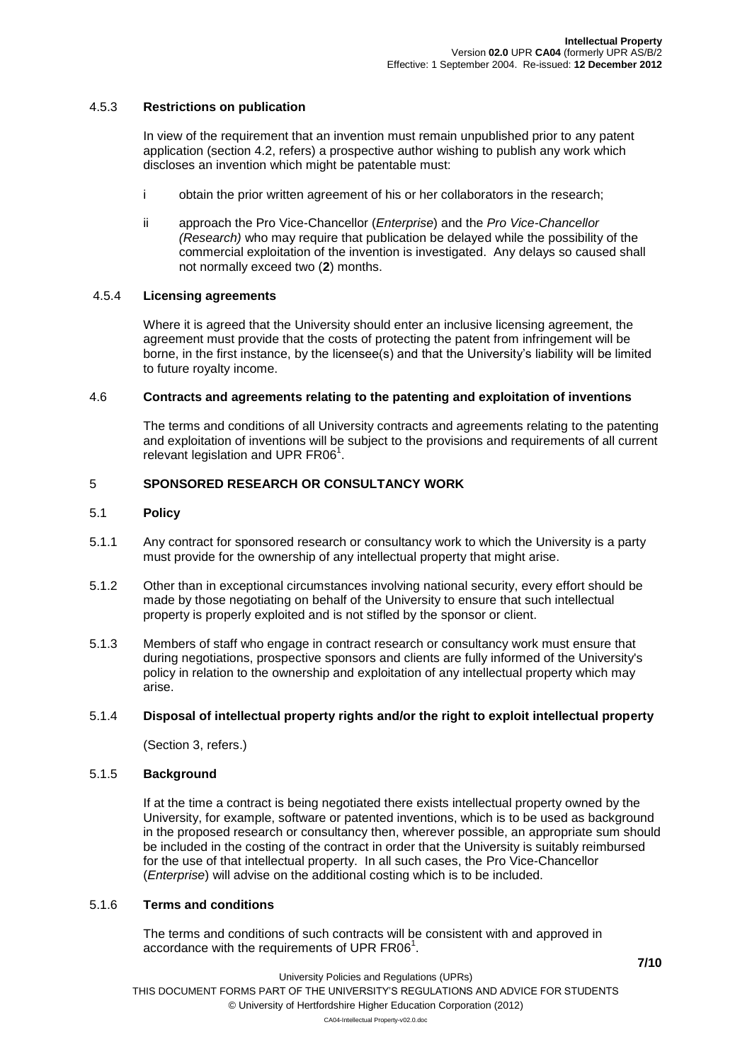## 4.5.3 **Restrictions on publication**

In view of the requirement that an invention must remain unpublished prior to any patent application (section 4.2, refers) a prospective author wishing to publish any work which discloses an invention which might be patentable must:

- i obtain the prior written agreement of his or her collaborators in the research:
- ii approach the Pro Vice-Chancellor (*Enterprise*) and the *Pro Vice-Chancellor (Research)* who may require that publication be delayed while the possibility of the commercial exploitation of the invention is investigated. Any delays so caused shall not normally exceed two (**2**) months.

### 4.5.4 **Licensing agreements**

Where it is agreed that the University should enter an inclusive licensing agreement, the agreement must provide that the costs of protecting the patent from infringement will be borne, in the first instance, by the licensee(s) and that the University"s liability will be limited to future royalty income.

#### 4.6 **Contracts and agreements relating to the patenting and exploitation of inventions**

The terms and conditions of all University contracts and agreements relating to the patenting and exploitation of inventions will be subject to the provisions and requirements of all current relevant legislation and UPR FR06<sup>1</sup>.

# 5 **SPONSORED RESEARCH OR CONSULTANCY WORK**

### 5.1 **Policy**

- 5.1.1 Any contract for sponsored research or consultancy work to which the University is a party must provide for the ownership of any intellectual property that might arise.
- 5.1.2 Other than in exceptional circumstances involving national security, every effort should be made by those negotiating on behalf of the University to ensure that such intellectual property is properly exploited and is not stifled by the sponsor or client.
- 5.1.3 Members of staff who engage in contract research or consultancy work must ensure that during negotiations, prospective sponsors and clients are fully informed of the University's policy in relation to the ownership and exploitation of any intellectual property which may arise.

# 5.1.4 **Disposal of intellectual property rights and/or the right to exploit intellectual property**

(Section 3, refers.)

#### 5.1.5 **Background**

If at the time a contract is being negotiated there exists intellectual property owned by the University, for example, software or patented inventions, which is to be used as background in the proposed research or consultancy then, wherever possible, an appropriate sum should be included in the costing of the contract in order that the University is suitably reimbursed for the use of that intellectual property. In all such cases, the Pro Vice-Chancellor (*Enterprise*) will advise on the additional costing which is to be included.

## 5.1.6 **Terms and conditions**

The terms and conditions of such contracts will be consistent with and approved in accordance with the requirements of UPR FR06 $^1$ .

University Policies and Regulations (UPRs)

**7/10**

THIS DOCUMENT FORMS PART OF THE UNIVERSITY"S REGULATIONS AND ADVICE FOR STUDENTS © University of Hertfordshire Higher Education Corporation (2012)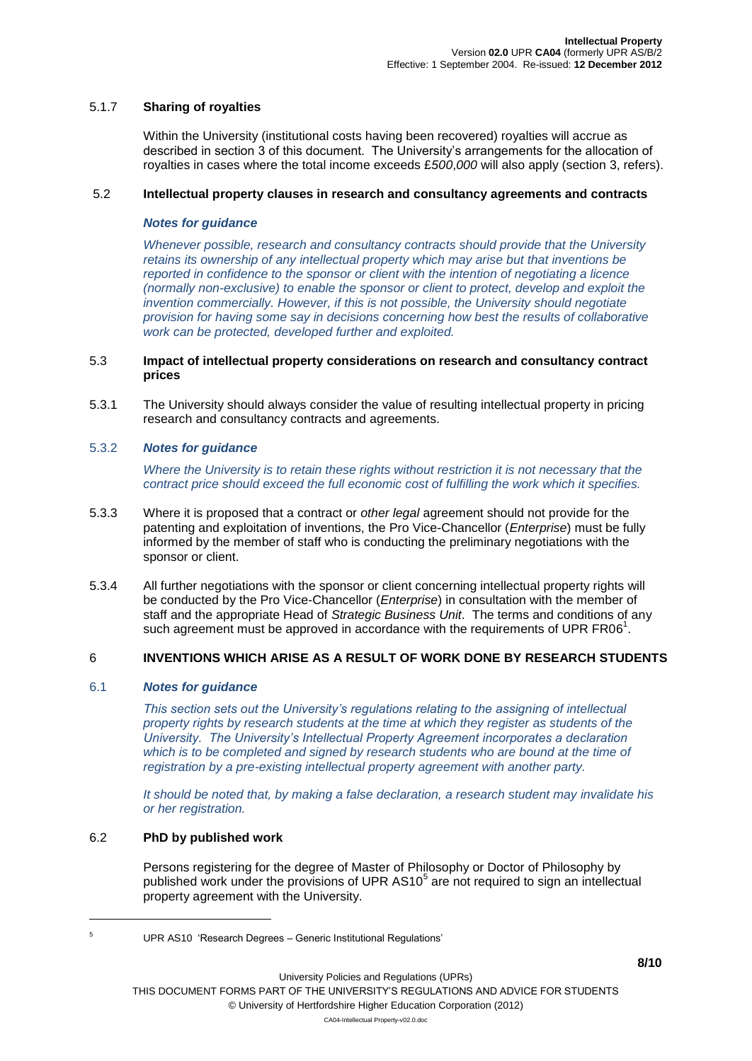## 5.1.7 **Sharing of royalties**

Within the University (institutional costs having been recovered) royalties will accrue as described in section 3 of this document. The University"s arrangements for the allocation of royalties in cases where the total income exceeds £*500*,*000* will also apply (section 3, refers).

### 5.2 **Intellectual property clauses in research and consultancy agreements and contracts**

## *Notes for guidance*

*Whenever possible, research and consultancy contracts should provide that the University retains its ownership of any intellectual property which may arise but that inventions be reported in confidence to the sponsor or client with the intention of negotiating a licence (normally non-exclusive) to enable the sponsor or client to protect, develop and exploit the invention commercially. However, if this is not possible, the University should negotiate provision for having some say in decisions concerning how best the results of collaborative work can be protected, developed further and exploited.*

#### 5.3 **Impact of intellectual property considerations on research and consultancy contract prices**

5.3.1 The University should always consider the value of resulting intellectual property in pricing research and consultancy contracts and agreements.

## 5.3.2 *Notes for guidance*

*Where the University is to retain these rights without restriction it is not necessary that the contract price should exceed the full economic cost of fulfilling the work which it specifies.*

- 5.3.3 Where it is proposed that a contract or *other legal* agreement should not provide for the patenting and exploitation of inventions, the Pro Vice-Chancellor (*Enterprise*) must be fully informed by the member of staff who is conducting the preliminary negotiations with the sponsor or client.
- 5.3.4 All further negotiations with the sponsor or client concerning intellectual property rights will be conducted by the Pro Vice-Chancellor (*Enterprise*) in consultation with the member of staff and the appropriate Head of *Strategic Business Unit*. The terms and conditions of any such agreement must be approved in accordance with the requirements of UPR FR06 $^1$ .

# 6 **INVENTIONS WHICH ARISE AS A RESULT OF WORK DONE BY RESEARCH STUDENTS**

# 6.1 *Notes for guidance*

*This section sets out the University's regulations relating to the assigning of intellectual property rights by research students at the time at which they register as students of the University. The University's Intellectual Property Agreement incorporates a declaration which is to be completed and signed by research students who are bound at the time of registration by a pre-existing intellectual property agreement with another party.* 

*It should be noted that, by making a false declaration, a research student may invalidate his or her registration.*

# 6.2 **PhD by published work**

Persons registering for the degree of Master of Philosophy or Doctor of Philosophy by published work under the provisions of UPR AS10<sup>5</sup> are not required to sign an intellectual property agreement with the University.

l

THIS DOCUMENT FORMS PART OF THE UNIVERSITY"S REGULATIONS AND ADVICE FOR STUDENTS

<sup>5</sup> UPR AS10 "Research Degrees – Generic Institutional Regulations"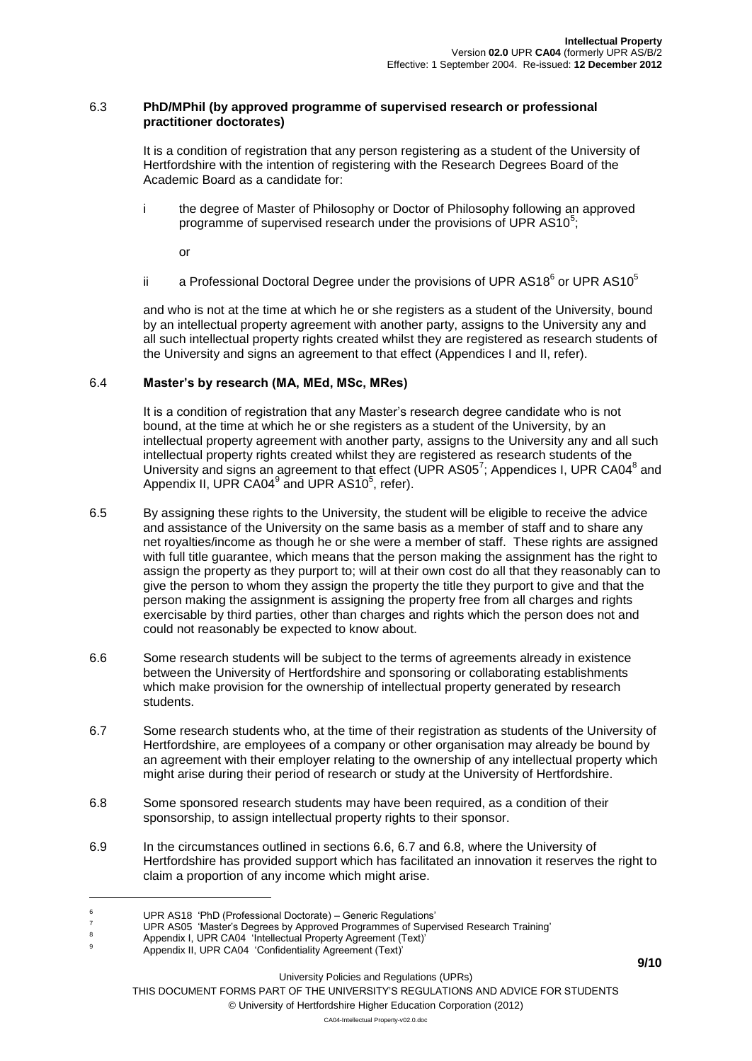### 6.3 **PhD/MPhil (by approved programme of supervised research or professional practitioner doctorates)**

It is a condition of registration that any person registering as a student of the University of Hertfordshire with the intention of registering with the Research Degrees Board of the Academic Board as a candidate for:

i the degree of Master of Philosophy or Doctor of Philosophy following an approved programme of supervised research under the provisions of UPR AS10 $5$ ;

or

ii a Professional Doctoral Degree under the provisions of UPR AS18 $^6$  or UPR AS10 $^5$ 

and who is not at the time at which he or she registers as a student of the University, bound by an intellectual property agreement with another party, assigns to the University any and all such intellectual property rights created whilst they are registered as research students of the University and signs an agreement to that effect (Appendices I and II, refer).

### 6.4 **Master's by research (MA, MEd, MSc, MRes)**

It is a condition of registration that any Master"s research degree candidate who is not bound, at the time at which he or she registers as a student of the University, by an intellectual property agreement with another party, assigns to the University any and all such intellectual property rights created whilst they are registered as research students of the University and signs an agreement to that effect (UPR AS05 $^7$ ; Appendices I, UPR CA04 $^8$  and Appendix II, UPR CA04<sup>9</sup> and UPR AS10<sup>5</sup>, refer).

- 6.5 By assigning these rights to the University, the student will be eligible to receive the advice and assistance of the University on the same basis as a member of staff and to share any net royalties/income as though he or she were a member of staff. These rights are assigned with full title guarantee, which means that the person making the assignment has the right to assign the property as they purport to; will at their own cost do all that they reasonably can to give the person to whom they assign the property the title they purport to give and that the person making the assignment is assigning the property free from all charges and rights exercisable by third parties, other than charges and rights which the person does not and could not reasonably be expected to know about.
- 6.6 Some research students will be subject to the terms of agreements already in existence between the University of Hertfordshire and sponsoring or collaborating establishments which make provision for the ownership of intellectual property generated by research students.
- 6.7 Some research students who, at the time of their registration as students of the University of Hertfordshire, are employees of a company or other organisation may already be bound by an agreement with their employer relating to the ownership of any intellectual property which might arise during their period of research or study at the University of Hertfordshire.
- 6.8 Some sponsored research students may have been required, as a condition of their sponsorship, to assign intellectual property rights to their sponsor.
- 6.9 In the circumstances outlined in sections 6.6, 6.7 and 6.8, where the University of Hertfordshire has provided support which has facilitated an innovation it reserves the right to claim a proportion of any income which might arise.

- <sup>8</sup> Appendix I, UPR CA04 "Intellectual Property Agreement (Text)"
- Appendix II, UPR CA04 'Confidentiality Agreement (Text)'

 $\overline{a}$ 

THIS DOCUMENT FORMS PART OF THE UNIVERSITY"S REGULATIONS AND ADVICE FOR STUDENTS

© University of Hertfordshire Higher Education Corporation (2012)

<sup>6</sup> UPR AS18 "PhD (Professional Doctorate) – Generic Regulations"

<sup>&</sup>lt;sup>7</sup> UPR AS05 'Master's Degrees by Approved Programmes of Supervised Research Training'

University Policies and Regulations (UPRs)